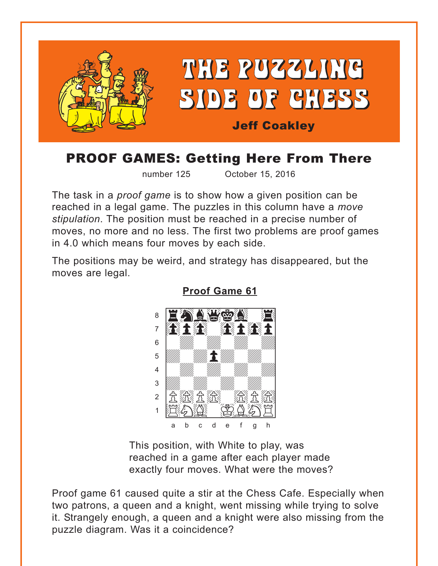<span id="page-0-0"></span>

## PROOF GAMES: Getting Here From There

number 125 October 15, 2016

The task in a *proof game* is to show how a given position can be reached in a legal game. The puzzles in this column have a *move stipulation*. The position must be reached in a precise number of moves, no more and no less. The first two problems are proof games in 4.0 which means four moves by each side.

The positions may be weird, and strategy has disappeared, but the moves are legal.



**[Proof Game 61](#page-4-0)**

This position, with White to play, was reached in a game after each player made exactly four moves. What were the moves?

Proof game 61 caused quite a stir at the Chess Cafe. Especially when two patrons, a queen and a knight, went missing while trying to solve it. Strangely enough, a queen and a knight were also missing from the puzzle diagram. Was it a coincidence?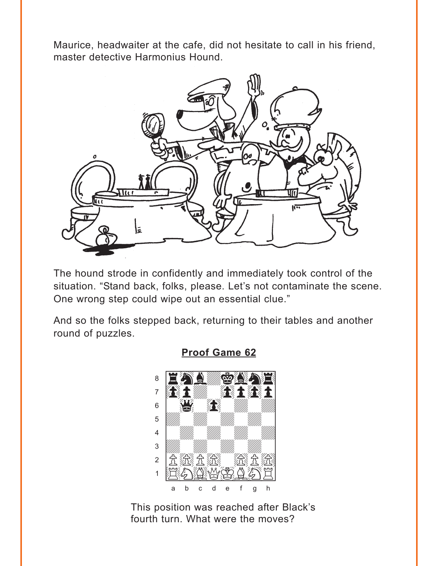<span id="page-1-0"></span>Maurice, headwaiter at the cafe, did not hesitate to call in his friend, master detective Harmonius Hound.



The hound strode in confidently and immediately took control of the situation. "Stand back, folks, please. Let's not contaminate the scene. One wrong step could wipe out an essential clue."

And so the folks stepped back, returning to their tables and another round of puzzles.



## Proof Game 62

This position was reached after Black's fourth turn. What were the moves?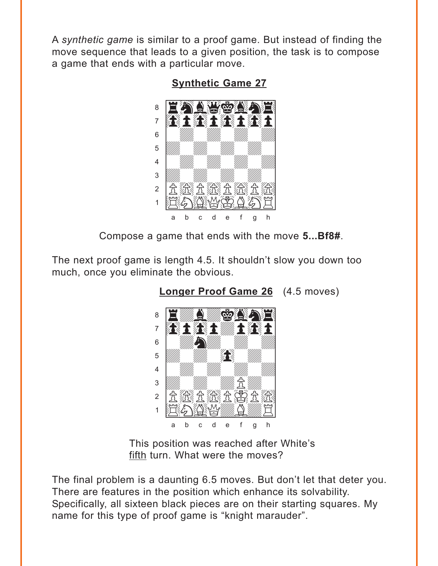<span id="page-2-0"></span>A synthetic game is similar to a proof game. But instead of finding the move sequence that leads to a given position, the task is to compose a game that ends with a particular move.



**Synthetic Game 27** 

Compose a game that ends with the move 5... Bf8#.

The next proof game is length 4.5. It shouldn't slow you down too much, once you eliminate the obvious.

**Longer Proof Game 26** (4.5 moves)



This position was reached after White's fifth turn. What were the moves?

The final problem is a daunting 6.5 moves. But don't let that deter you. There are features in the position which enhance its solvability. Specifically, all sixteen black pieces are on their starting squares. My name for this type of proof game is "knight marauder".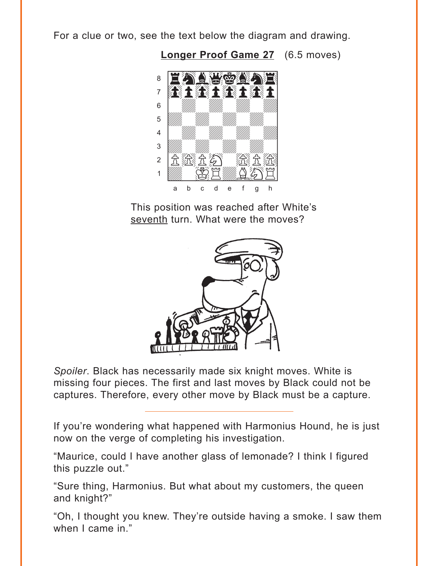<span id="page-3-0"></span>For a clue or two, see the text below the diagram and drawing.

Longer Proof Game 27 (6.5 moves)



This position was reached after White's seventh turn. What were the moves?



Spoiler. Black has necessarily made six knight moves. White is missing four pieces. The first and last moves by Black could not be captures. Therefore, every other move by Black must be a capture.

If you're wondering what happened with Harmonius Hound, he is just now on the verge of completing his investigation.

"Maurice, could I have another glass of lemonade? I think I figured this puzzle out."

"Sure thing, Harmonius. But what about my customers, the queen and knight?"

"Oh, I thought you knew. They're outside having a smoke. I saw them when I came in."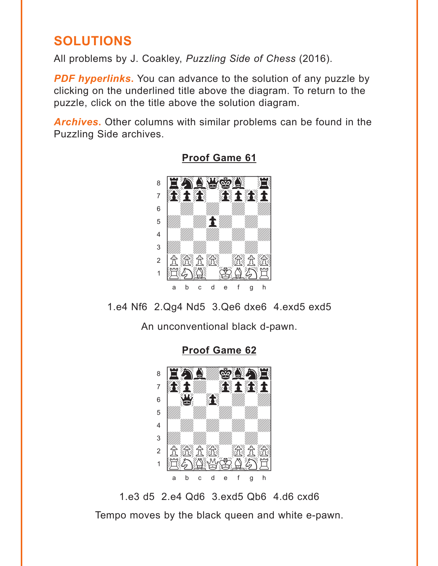## <span id="page-4-0"></span>**SOLUTIONS**

All problems by J. Coakley, *Puzzling Side of Chess* (2016).

**PDF hyperlinks.** You can advance to the solution of any puzzle by clicking on the underlined title above the diagram. To return to the puzzle, click on the title above the solution diagram.

*Archives***.** Other columns with similar problems can be found in the Puzzling Side archives.



**[Proof Game 61](#page-0-0)**

1.e4 Nf6 2.Qg4 Nd5 3.Qe6 dxe6 4.exd5 exd5

An unconventional black d-pawn.



**[Proof Game 62](#page-1-0)**

1.e3 d5 2.e4 Qd6 3.exd5 Qb6 4.d6 cxd6 Tempo moves by the black queen and white e-pawn.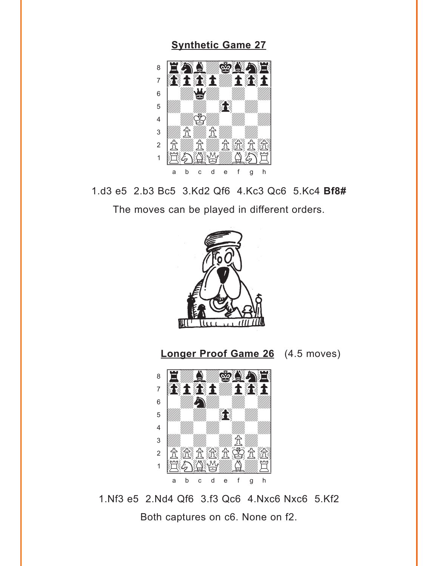<span id="page-5-0"></span>**[Synthetic Game 27](#page-2-0)**



1.d3 e5 2.b3 Bc5 3.Kd2 Qf6 4.Kc3 Qc6 5.Kc4 **Bf8#**

The moves can be played in different orders.



1.Nf3 e5 2.Nd4 Qf6 3.f3 Qc6 4.Nxc6 Nxc6 5.Kf2 Both captures on c6. None on f2.